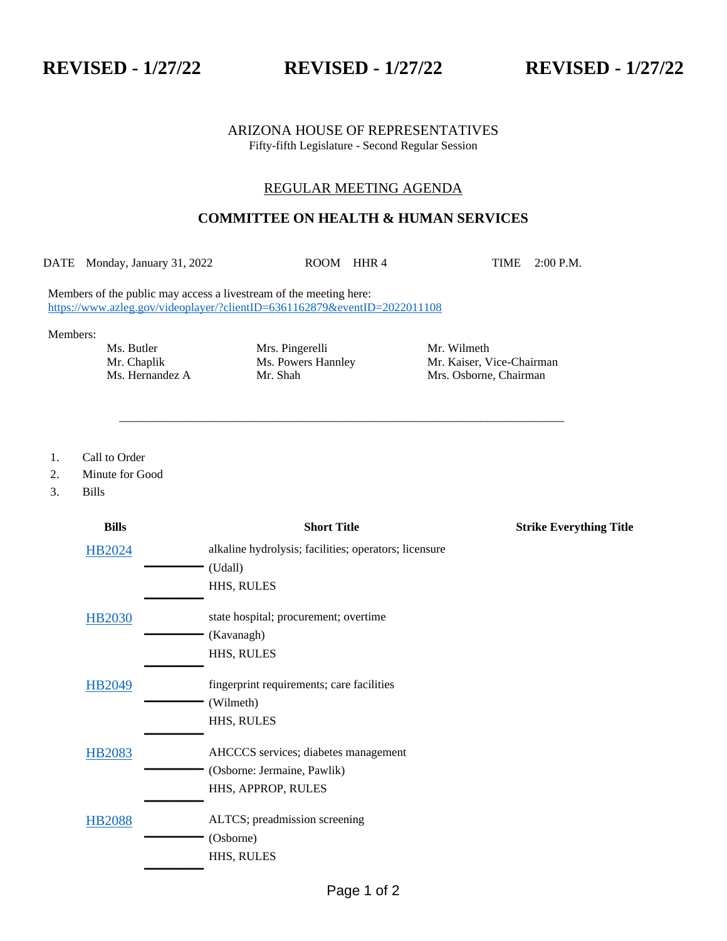**REVISED - 1/27/22 REVISED - 1/27/22 REVISED - 1/27/22**

### ARIZONA HOUSE OF REPRESENTATIVES Fifty-fifth Legislature - Second Regular Session

## REGULAR MEETING AGENDA

# **COMMITTEE ON HEALTH & HUMAN SERVICES**

DATE Monday, January 31, 2022 ROOM HHR 4 TIME 2:00 P.M.

\_\_\_\_\_\_\_\_\_\_\_\_\_\_\_\_\_\_\_\_\_\_\_\_\_\_\_\_\_\_\_\_\_\_\_\_\_\_\_\_\_\_\_\_\_\_\_\_\_\_\_\_\_\_\_\_\_\_\_\_\_\_\_\_\_\_\_\_\_\_\_\_\_\_\_

Members of the public may access a livestream of the meeting here: <https://www.azleg.gov/videoplayer/?clientID=6361162879&eventID=2022011108>

Members:

Ms. Butler Mrs. Pingerelli Mrs. Mr. Wilmeth

Mr. Chaplik Ms. Powers Hannley Mr. Kaiser, Vice-Chairman Ms. Hernandez A Mr. Shah Mrs. Osborne, Chairman Mr. Shah Mrs. Osborne, Chairman

1. Call to Order

2. Minute for Good

3. Bills

| <b>Bills</b>  | <b>Short Title</b>                                    | <b>Strike Everything Title</b> |
|---------------|-------------------------------------------------------|--------------------------------|
| HB2024        | alkaline hydrolysis; facilities; operators; licensure |                                |
|               | (Udall)                                               |                                |
|               | HHS, RULES                                            |                                |
| <b>HB2030</b> | state hospital; procurement; overtime                 |                                |
|               | (Kavanagh)                                            |                                |
|               | HHS, RULES                                            |                                |
| HB2049        | fingerprint requirements; care facilities             |                                |
|               | (Wilmeth)                                             |                                |
|               | HHS, RULES                                            |                                |
| <b>HB2083</b> | AHCCCS services; diabetes management                  |                                |
|               | (Osborne: Jermaine, Pawlik)                           |                                |
|               | HHS, APPROP, RULES                                    |                                |
| <b>HB2088</b> | ALTCS; preadmission screening                         |                                |
|               | (Osborne)                                             |                                |
|               | HHS, RULES                                            |                                |
|               |                                                       |                                |